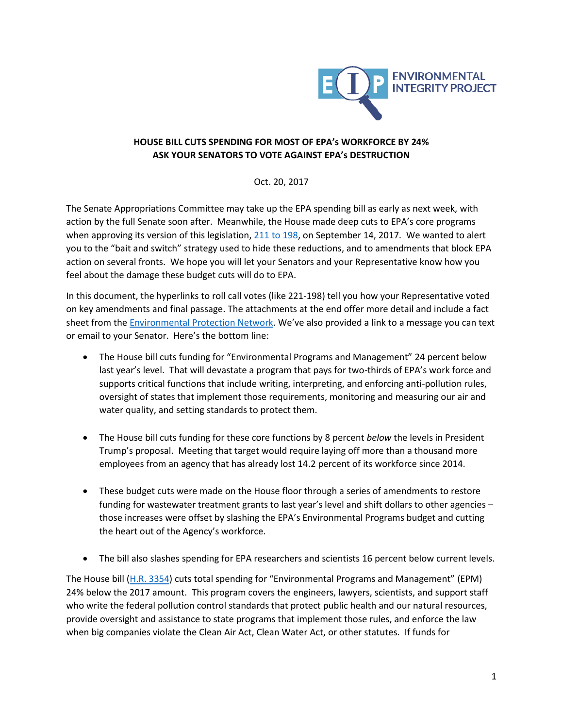

## **HOUSE BILL CUTS SPENDING FOR MOST OF EPA's WORKFORCE BY 24% ASK YOUR SENATORS TO VOTE AGAINST EPA's DESTRUCTION**

Oct. 20, 2017

The Senate Appropriations Committee may take up the EPA spending bill as early as next week, with action by the full Senate soon after. Meanwhile, the House made deep cuts to EPA's core programs when approving its version of this legislation, [211 to 198,](http://clerk.house.gov/evs/2017/roll528.xml) on September 14, 2017. We wanted to alert you to the "bait and switch" strategy used to hide these reductions, and to amendments that block EPA action on several fronts. We hope you will let your Senators and your Representative know how you feel about the damage these budget cuts will do to EPA.

In this document, the hyperlinks to roll call votes (like 221-198) tell you how your Representative voted on key amendments and final passage. The attachments at the end offer more detail and include a fact sheet from the [Environmental Protection Network](http://www.environmentalprotectionnetwork.org/). We've also provided a link to a message you can text or email to your Senator. Here's the bottom line:

- The House bill cuts funding for "Environmental Programs and Management" 24 percent below last year's level. That will devastate a program that pays for two-thirds of EPA's work force and supports critical functions that include writing, interpreting, and enforcing anti-pollution rules, oversight of states that implement those requirements, monitoring and measuring our air and water quality, and setting standards to protect them.
- The House bill cuts funding for these core functions by 8 percent *below* the levels in President Trump's proposal. Meeting that target would require laying off more than a thousand more employees from an agency that has already lost 14.2 percent of its workforce since 2014.
- These budget cuts were made on the House floor through a series of amendments to restore funding for wastewater treatment grants to last year's level and shift dollars to other agencies – those increases were offset by slashing the EPA's Environmental Programs budget and cutting the heart out of the Agency's workforce.
- The bill also slashes spending for EPA researchers and scientists 16 percent below current levels.

The House bill [\(H.R. 3354\)](https://www.congress.gov/bill/115th-congress/house-bill/3354) cuts total spending for "Environmental Programs and Management" (EPM) 24% below the 2017 amount. This program covers the engineers, lawyers, scientists, and support staff who write the federal pollution control standards that protect public health and our natural resources, provide oversight and assistance to state programs that implement those rules, and enforce the law when big companies violate the Clean Air Act, Clean Water Act, or other statutes. If funds for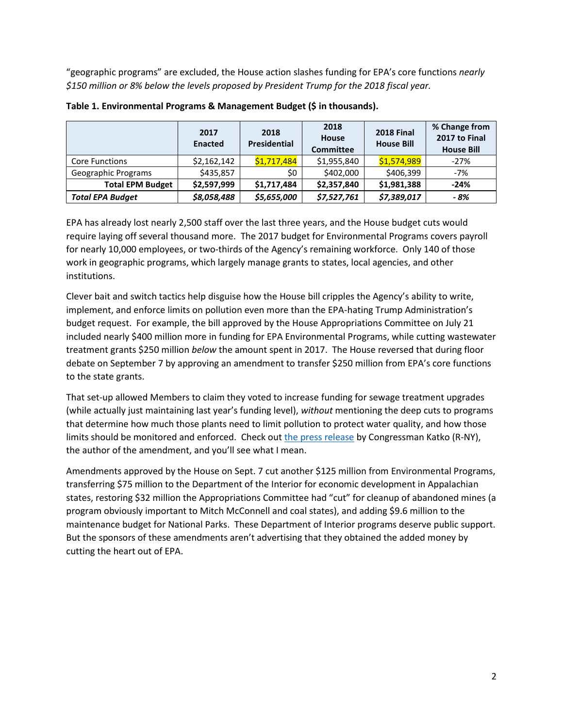"geographic programs" are excluded, the House action slashes funding for EPA's core functions *nearly \$150 million or 8% below the levels proposed by President Trump for the 2018 fiscal year.* 

|                         | 2017<br><b>Enacted</b> | 2018<br><b>Presidential</b> | 2018<br>House<br><b>Committee</b> | <b>2018 Final</b><br><b>House Bill</b> | % Change from<br>2017 to Final<br><b>House Bill</b> |
|-------------------------|------------------------|-----------------------------|-----------------------------------|----------------------------------------|-----------------------------------------------------|
| <b>Core Functions</b>   | \$2,162,142            | \$1,717,484                 | \$1,955,840                       | \$1,574,989                            | $-27%$                                              |
| Geographic Programs     | \$435,857              | \$0                         | \$402,000                         | \$406,399                              | $-7%$                                               |
| <b>Total EPM Budget</b> | \$2,597,999            | \$1,717,484                 | \$2,357,840                       | \$1,981,388                            | $-24%$                                              |
| <b>Total EPA Budget</b> | \$8,058,488            | \$5,655,000                 | \$7,527,761                       | \$7,389,017                            | - 8%                                                |

## **Table 1. Environmental Programs & Management Budget (\$ in thousands).**

EPA has already lost nearly 2,500 staff over the last three years, and the House budget cuts would require laying off several thousand more. The 2017 budget for Environmental Programs covers payroll for nearly 10,000 employees, or two-thirds of the Agency's remaining workforce. Only 140 of those work in geographic programs, which largely manage grants to states, local agencies, and other institutions.

Clever bait and switch tactics help disguise how the House bill cripples the Agency's ability to write, implement, and enforce limits on pollution even more than the EPA-hating Trump Administration's budget request. For example, the bill approved by the House Appropriations Committee on July 21 included nearly \$400 million more in funding for EPA Environmental Programs, while cutting wastewater treatment grants \$250 million *below* the amount spent in 2017. The House reversed that during floor debate on September 7 by approving an amendment to transfer \$250 million from EPA's core functions to the state grants.

That set-up allowed Members to claim they voted to increase funding for sewage treatment upgrades (while actually just maintaining last year's funding level), *without* mentioning the deep cuts to programs that determine how much those plants need to limit pollution to protect water quality, and how those limits should be monitored and enforced. Check out [the press release](https://katko.house.gov/media-center/press-releases/house-approves-katko-measure-restore-critical-water-infrastructure) by Congressman Katko (R-NY), the author of the amendment, and you'll see what I mean.

Amendments approved by the House on Sept. 7 cut another \$125 million from Environmental Programs, transferring \$75 million to the Department of the Interior for economic development in Appalachian states, restoring \$32 million the Appropriations Committee had "cut" for cleanup of abandoned mines (a program obviously important to Mitch McConnell and coal states), and adding \$9.6 million to the maintenance budget for National Parks. These Department of Interior programs deserve public support. But the sponsors of these amendments aren't advertising that they obtained the added money by cutting the heart out of EPA.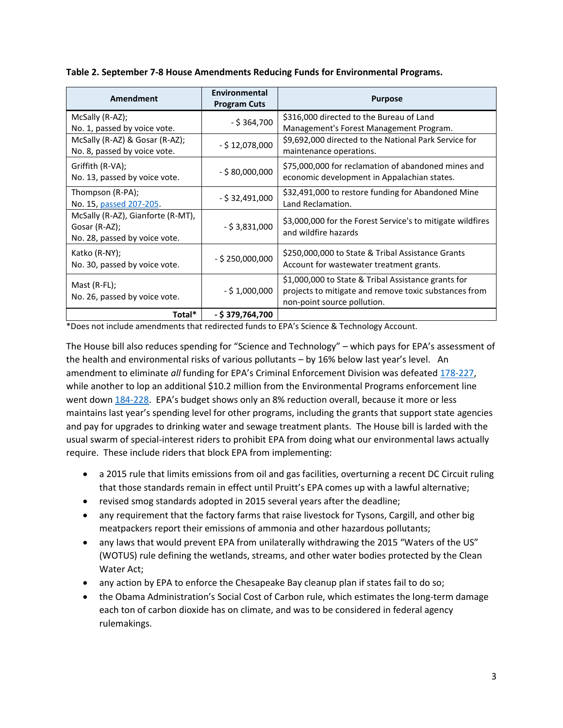|  | Table 2. September 7-8 House Amendments Reducing Funds for Environmental Programs. |
|--|------------------------------------------------------------------------------------|
|  |                                                                                    |

| <b>Amendment</b>                                                                    | Environmental<br><b>Program Cuts</b> | <b>Purpose</b>                                                                                                                              |
|-------------------------------------------------------------------------------------|--------------------------------------|---------------------------------------------------------------------------------------------------------------------------------------------|
| McSally (R-AZ);<br>No. 1, passed by voice vote.                                     | $-$ \$ 364,700                       | \$316,000 directed to the Bureau of Land<br>Management's Forest Management Program.                                                         |
| McSally (R-AZ) & Gosar (R-AZ);<br>No. 8, passed by voice vote.                      | $-$ \$ 12,078,000                    | \$9,692,000 directed to the National Park Service for<br>maintenance operations.                                                            |
| Griffith (R-VA);<br>No. 13, passed by voice vote.                                   | $-$ \$ 80,000,000                    | \$75,000,000 for reclamation of abandoned mines and<br>economic development in Appalachian states.                                          |
| Thompson (R-PA);<br>No. 15, passed 207-205.                                         | $-$ \$ 32,491,000                    | \$32,491,000 to restore funding for Abandoned Mine<br>Land Reclamation.                                                                     |
| McSally (R-AZ), Gianforte (R-MT),<br>Gosar (R-AZ);<br>No. 28, passed by voice vote. | $-$ \$ 3,831,000                     | \$3,000,000 for the Forest Service's to mitigate wildfires<br>and wildfire hazards                                                          |
| Katko (R-NY);<br>No. 30, passed by voice vote.                                      | $-$ \$ 250,000,000                   | \$250,000,000 to State & Tribal Assistance Grants<br>Account for wastewater treatment grants.                                               |
| Mast $(R$ -FL $);$<br>No. 26, passed by voice vote.                                 | $-$ \$ 1,000,000                     | \$1,000,000 to State & Tribal Assistance grants for<br>projects to mitigate and remove toxic substances from<br>non-point source pollution. |
| Total*                                                                              | - \$379,764,700                      |                                                                                                                                             |

\*Does not include amendments that redirected funds to EPA's Science & Technology Account.

The House bill also reduces spending for "Science and Technology" – which pays for EPA's assessment of the health and environmental risks of various pollutants – by 16% below last year's level. An amendment to eliminate *all* funding for EPA's Criminal Enforcement Division was defeated [178-227,](http://clerk.house.gov/evs/2017/roll482.xml) while another to lop an additional \$10.2 million from the Environmental Programs enforcement line went down [184-228.](http://clerk.house.gov/evs/2017/roll474.xml) EPA's budget shows only an 8% reduction overall, because it more or less maintains last year's spending level for other programs, including the grants that support state agencies and pay for upgrades to drinking water and sewage treatment plants. The House bill is larded with the usual swarm of special-interest riders to prohibit EPA from doing what our environmental laws actually require. These include riders that block EPA from implementing:

- a 2015 rule that limits emissions from oil and gas facilities, overturning a recent DC Circuit ruling that those standards remain in effect until Pruitt's EPA comes up with a lawful alternative;
- revised smog standards adopted in 2015 several years after the deadline;
- any requirement that the factory farms that raise livestock for Tysons, Cargill, and other big meatpackers report their emissions of ammonia and other hazardous pollutants;
- any laws that would prevent EPA from unilaterally withdrawing the 2015 "Waters of the US" (WOTUS) rule defining the wetlands, streams, and other water bodies protected by the Clean Water Act;
- any action by EPA to enforce the Chesapeake Bay cleanup plan if states fail to do so;
- the Obama Administration's Social Cost of Carbon rule, which estimates the long-term damage each ton of carbon dioxide has on climate, and was to be considered in federal agency rulemakings.